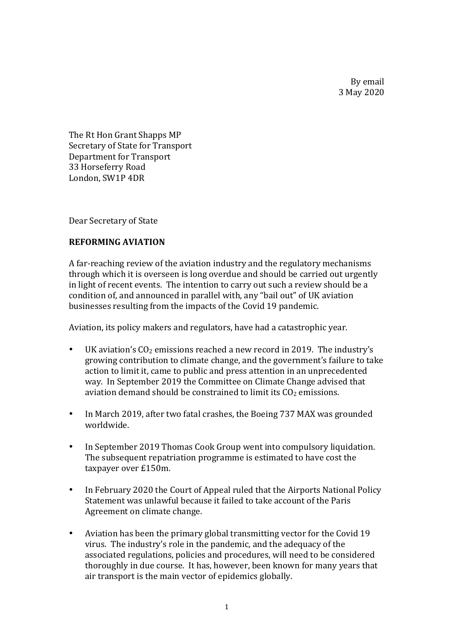By email 3 May 2020

The Rt Hon Grant Shapps MP Secretary of State for Transport Department for Transport 33 Horseferry Road London, SW1P 4DR

Dear Secretary of State

## **REFORMING AVIATION**

A far-reaching review of the aviation industry and the regulatory mechanisms through which it is overseen is long overdue and should be carried out urgently in light of recent events. The intention to carry out such a review should be a condition of, and announced in parallel with, any "bail out" of UK aviation businesses resulting from the impacts of the Covid 19 pandemic.

Aviation, its policy makers and regulators, have had a catastrophic year.

- UK aviation's  $CO<sub>2</sub>$  emissions reached a new record in 2019. The industry's growing contribution to climate change, and the government's failure to take action to limit it, came to public and press attention in an unprecedented way. In September 2019 the Committee on Climate Change advised that aviation demand should be constrained to limit its  $CO<sub>2</sub>$  emissions.
- In March 2019, after two fatal crashes, the Boeing 737 MAX was grounded worldwide.
- In September 2019 Thomas Cook Group went into compulsory liquidation. The subsequent repatriation programme is estimated to have cost the taxpayer over £150m.
- In February 2020 the Court of Appeal ruled that the Airports National Policy Statement was unlawful because it failed to take account of the Paris Agreement on climate change.
- Aviation has been the primary global transmitting vector for the Covid 19 virus. The industry's role in the pandemic, and the adequacy of the associated regulations, policies and procedures, will need to be considered thoroughly in due course. It has, however, been known for many years that air transport is the main vector of epidemics globally.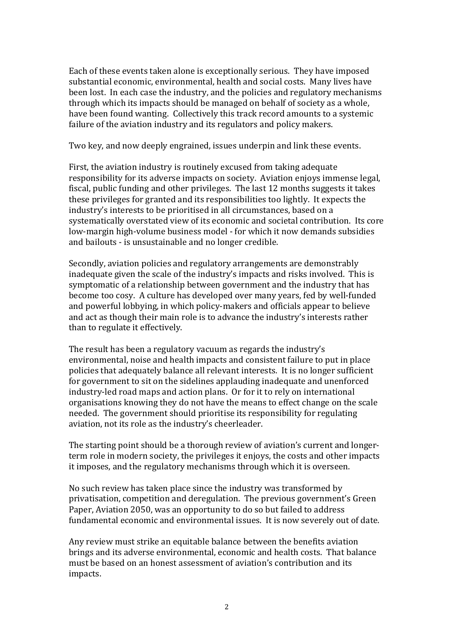Each of these events taken alone is exceptionally serious. They have imposed substantial economic, environmental, health and social costs. Many lives have been lost. In each case the industry, and the policies and regulatory mechanisms through which its impacts should be managed on behalf of society as a whole, have been found wanting. Collectively this track record amounts to a systemic failure of the aviation industry and its regulators and policy makers.

Two key, and now deeply engrained, issues underpin and link these events.

First, the aviation industry is routinely excused from taking adequate responsibility for its adverse impacts on society. Aviation enjoys immense legal, fiscal, public funding and other privileges. The last 12 months suggests it takes these privileges for granted and its responsibilities too lightly. It expects the industry's interests to be prioritised in all circumstances, based on a systematically overstated view of its economic and societal contribution. Its core low-margin high-volume business model - for which it now demands subsidies and bailouts - is unsustainable and no longer credible.

Secondly, aviation policies and regulatory arrangements are demonstrably inadequate given the scale of the industry's impacts and risks involved. This is symptomatic of a relationship between government and the industry that has become too cosy. A culture has developed over many years, fed by well-funded and powerful lobbying, in which policy-makers and officials appear to believe and act as though their main role is to advance the industry's interests rather than to regulate it effectively.

The result has been a regulatory vacuum as regards the industry's environmental, noise and health impacts and consistent failure to put in place policies that adequately balance all relevant interests. It is no longer sufficient for government to sit on the sidelines applauding inadequate and unenforced industry-led road maps and action plans. Or for it to rely on international organisations knowing they do not have the means to effect change on the scale needed. The government should prioritise its responsibility for regulating aviation, not its role as the industry's cheerleader.

The starting point should be a thorough review of aviation's current and longerterm role in modern society, the privileges it enjoys, the costs and other impacts it imposes, and the regulatory mechanisms through which it is overseen.

No such review has taken place since the industry was transformed by privatisation, competition and deregulation. The previous government's Green Paper, Aviation 2050, was an opportunity to do so but failed to address fundamental economic and environmental issues. It is now severely out of date.

Any review must strike an equitable balance between the benefits aviation brings and its adverse environmental, economic and health costs. That balance must be based on an honest assessment of aviation's contribution and its impacts.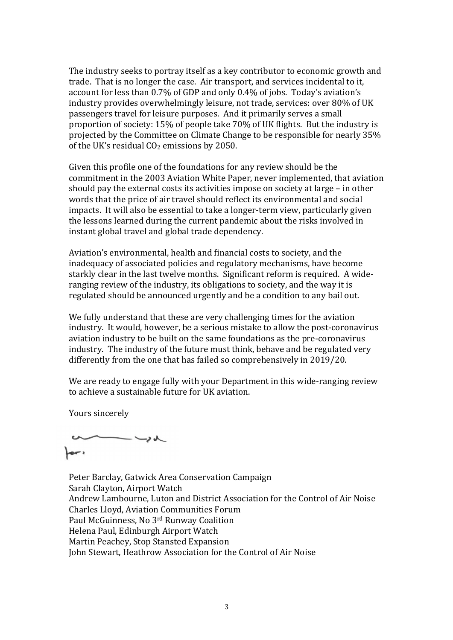The industry seeks to portray itself as a key contributor to economic growth and trade. That is no longer the case. Air transport, and services incidental to it, account for less than 0.7% of GDP and only 0.4% of jobs. Today's aviation's industry provides overwhelmingly leisure, not trade, services: over 80% of UK passengers travel for leisure purposes. And it primarily serves a small proportion of society: 15% of people take 70% of UK flights. But the industry is projected by the Committee on Climate Change to be responsible for nearly 35% of the UK's residual  $CO<sub>2</sub>$  emissions by 2050.

Given this profile one of the foundations for any review should be the commitment in the 2003 Aviation White Paper, never implemented, that aviation should pay the external costs its activities impose on society at large  $-$  in other words that the price of air travel should reflect its environmental and social impacts. It will also be essential to take a longer-term view, particularly given the lessons learned during the current pandemic about the risks involved in instant global travel and global trade dependency.

Aviation's environmental, health and financial costs to society, and the inadequacy of associated policies and regulatory mechanisms, have become starkly clear in the last twelve months. Significant reform is required. A wideranging review of the industry, its obligations to society, and the way it is regulated should be announced urgently and be a condition to any bail out.

We fully understand that these are very challenging times for the aviation industry. It would, however, be a serious mistake to allow the post-coronavirus aviation industry to be built on the same foundations as the pre-coronavirus industry. The industry of the future must think, behave and be regulated very differently from the one that has failed so comprehensively in 2019/20.

We are ready to engage fully with your Department in this wide-ranging review to achieve a sustainable future for UK aviation.

Yours sincerely

 $\mu$  $\bullet$ 

Peter Barclay, Gatwick Area Conservation Campaign Sarah Clayton, Airport Watch Andrew Lambourne, Luton and District Association for the Control of Air Noise Charles Lloyd, Aviation Communities Forum Paul McGuinness, No 3rd Runway Coalition Helena Paul, Edinburgh Airport Watch Martin Peachey, Stop Stansted Expansion John Stewart, Heathrow Association for the Control of Air Noise